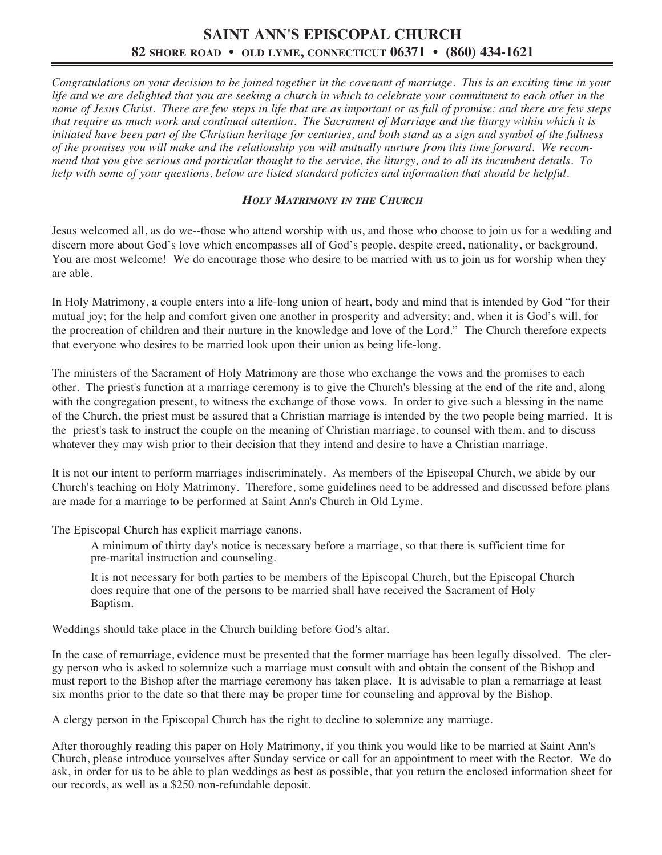### **SAINT ANN'S EPISCOPAL CHURCH 82 SHORE ROAD • OLD LYME, CONNECTICUT 06371 • (860) 434-1621**

Congratulations on your decision to be joined together in the covenant of marriage. This is an exciting time in your life and we are delighted that you are seeking a church in which to celebrate your commitment to each other in the name of Jesus Christ. There are few steps in life that are as important or as full of promise; and there are few steps that require as much work and continual attention. The Sacrament of Marriage and the liturgy within which it is initiated have been part of the Christian heritage for centuries, and both stand as a sign and symbol of the fullness of the promises you will make and the relationship you will mutually nurture from this time forward. We recommend that you give serious and particular thought to the service, the liturgy, and to all its incumbent details. To help with some of your questions, below are listed standard policies and information that should be helpful.

#### *HOLY MATRIMONY IN THE CHURCH*

Jesus welcomed all, as do we--those who attend worship with us, and those who choose to join us for a wedding and discern more about God's love which encompasses all of God's people, despite creed, nationality, or background. You are most welcome! We do encourage those who desire to be married with us to join us for worship when they are able.

In Holy Matrimony, a couple enters into a life-long union of heart, body and mind that is intended by God "for their mutual joy; for the help and comfort given one another in prosperity and adversity; and, when it is God's will, for the procreation of children and their nurture in the knowledge and love of the Lord." The Church therefore expects that everyone who desires to be married look upon their union as being life-long.

The ministers of the Sacrament of Holy Matrimony are those who exchange the vows and the promises to each other. The priest's function at a marriage ceremony is to give the Church's blessing at the end of the rite and, along with the congregation present, to witness the exchange of those vows. In order to give such a blessing in the name of the Church, the priest must be assured that a Christian marriage is intended by the two people being married. It is the priest's task to instruct the couple on the meaning of Christian marriage, to counsel with them, and to discuss whatever they may wish prior to their decision that they intend and desire to have a Christian marriage.

It is not our intent to perform marriages indiscriminately. As members of the Episcopal Church, we abide by our Church's teaching on Holy Matrimony. Therefore, some guidelines need to be addressed and discussed before plans are made for a marriage to be performed at Saint Ann's Church in Old Lyme.

The Episcopal Church has explicit marriage canons.

A minimum of thirty day's notice is necessary before a marriage, so that there is sufficient time for pre-marital instruction and counseling.

It is not necessary for both parties to be members of the Episcopal Church, but the Episcopal Church does require that one of the persons to be married shall have received the Sacrament of Holy Baptism.

Weddings should take place in the Church building before God's altar.

In the case of remarriage, evidence must be presented that the former marriage has been legally dissolved. The clergy person who is asked to solemnize such a marriage must consult with and obtain the consent of the Bishop and must report to the Bishop after the marriage ceremony has taken place. It is advisable to plan a remarriage at least six months prior to the date so that there may be proper time for counseling and approval by the Bishop.

A clergy person in the Episcopal Church has the right to decline to solemnize any marriage.

After thoroughly reading this paper on Holy Matrimony, if you think you would like to be married at Saint Ann's Church, please introduce yourselves after Sunday service or call for an appointment to meet with the Rector. We do ask, in order for us to be able to plan weddings as best as possible, that you return the enclosed information sheet for our records, as well as a \$250 non-refundable deposit.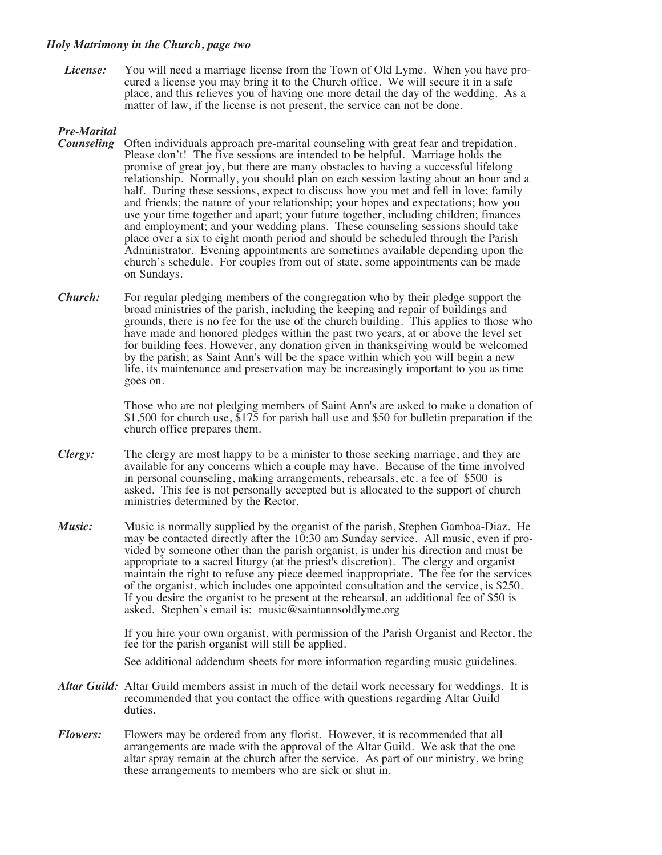#### *Holy Matrimony in the Church, page two*

*License:* You will need a marriage license from the Town of Old Lyme. When you have pro-<br>cured a license you may bring it to the Church office. We will secure it in a safe place, and this relieves you of having one more detail the day of the wedding. As a matter of law, if the license is not present, the service can not be done.

#### *Pre-Marital*

- *Counseling* Often individuals approach pre-marital counseling with great fear and trepidation. Please don't! The five sessions are intended to be helpful. Marriage holds the promise of great joy, but there are many obstacles to having a successful lifelong relationship. Normally, you should plan on each session lasting about an hour and a half. During these sessions, expect to discuss how you met and fell in love; family and friends; the nature of your relationship; your hopes and expectations; how you use your time together and apart; your future together, including children; finances and employment; and your wedding plans. These counseling sessions should take place over a six to eight month period and should be scheduled through the Parish Administrator. Evening appointments are sometimes available depending upon the church's schedule. For couples from out of state, some appointments can be made on Sundays.
- *Church:* For regular pledging members of the congregation who by their pledge support the broad ministries of the parish, including the keeping and repair of buildings and grounds, there is no fee for the use of the church building. This applies to those who have made and honored pledges within the past two years, at or above the level set for building fees. However, any donation given in thanksgiving would be welcomed by the parish; as Saint Ann's will be the space within which you will begin a new life, its maintenance and preservation may be increasingly important to you as time goes on.

Those who are not pledging members of Saint Ann's are asked to make a donation of \$1,500 for church use,  $\frac{1}{5}$  for parish hall use and \$50 for bulletin preparation if the church office prepares them.

- *Clergy:* The clergy are most happy to be a minister to those seeking marriage, and they are available for any concerns which a couple may have. Because of the time involved in personal counseling, making arrangements, rehearsals, etc. a fee of \$500 is asked. This fee is not personally accepted but is allocated to the support of church ministries determined by the Rector.
- *Music:* Music is normally supplied by the organist of the parish, Stephen Gamboa-Diaz. He may be contacted directly after the 10:30 am Sunday service. All music, even if provided by someone other than the parish organist, is under his direction and must be appropriate to a sacred liturgy (at the priest's discretion). The clergy and organist maintain the right to refuse any piece deemed inappropriate. The fee for the services of the organist, which includes one appointed consultation and the service, is \$250. If you desire the organist to be present at the rehearsal, an additional fee of \$50 is asked. Stephen's email is: music@saintannsoldlyme.org

If you hire your own organist, with permission of the Parish Organist and Rector, the fee for the parish organist will still be applied.

See additional addendum sheets for more information regarding music guidelines.

- *Altar Guild:* Altar Guild members assist in much of the detail work necessary for weddings. It is recommended that you contact the office with questions regarding Altar Guild duties.
- *Flowers:* Flowers may be ordered from any florist. However, it is recommended that all arrangements are made with the approval of the Altar Guild. We ask that the one altar spray remain at the church after the service. As part of our ministry, we bring these arrangements to members who are sick or shut in.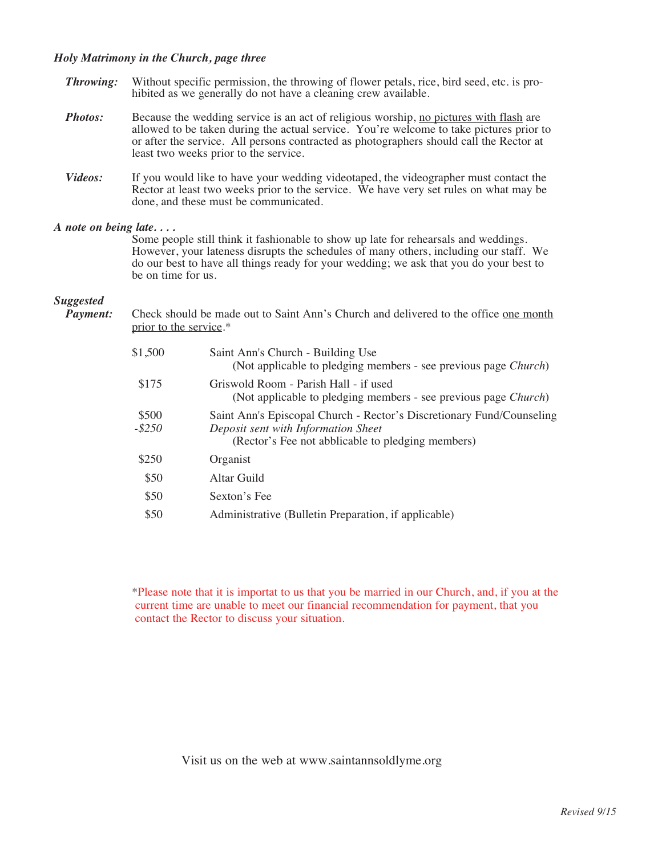#### *Holy Matrimony in the Church, page three*

- *Throwing:* Without specific permission, the throwing of flower petals, rice, bird seed, etc. is prohibited as we generally do not have a cleaning crew available. *Photos:* Because the wedding service is an act of religious worship, no pictures with flash are allowed to be taken during the actual service. You're welcome to take pictures prior to or after the service. All persons contracted as photographers should call the Rector at least two weeks prior to the service. *Videos:* If you would like to have your wedding videotaped, the videographer must contact the
- Rector at least two weeks prior to the service. We have very set rules on what may be done, and these must be communicated.

#### *A note on being late. . . .*

Some people still think it fashionable to show up late for rehearsals and weddings. However, your lateness disrupts the schedules of many others, including our staff. We do our best to have all things ready for your wedding; we ask that you do your best to be on time for us.

# *Suggested*

*Payment:* Check should be made out to Saint Ann's Church and delivered to the office one month prior to the service.\*

| \$1,500            | Saint Ann's Church - Building Use<br>(Not applicable to pledging members - see previous page <i>Church</i> )                                                      |
|--------------------|-------------------------------------------------------------------------------------------------------------------------------------------------------------------|
| \$175              | Griswold Room - Parish Hall - if used<br>(Not applicable to pledging members - see previous page Church)                                                          |
| \$500<br>$-$ \$250 | Saint Ann's Episcopal Church - Rector's Discretionary Fund/Counseling<br>Deposit sent with Information Sheet<br>(Rector's Fee not abblicable to pledging members) |
| \$250              | Organist                                                                                                                                                          |
| \$50               | Altar Guild                                                                                                                                                       |
| \$50               | Sexton's Fee                                                                                                                                                      |
| \$50               | Administrative (Bulletin Preparation, if applicable)                                                                                                              |

\*Please note that it is importat to us that you be married in our Church, and, if you at the current time are unable to meet our financial recommendation for payment, that you contact the Rector to discuss your situation.

Visit us on the web at www.saintannsoldlyme.org